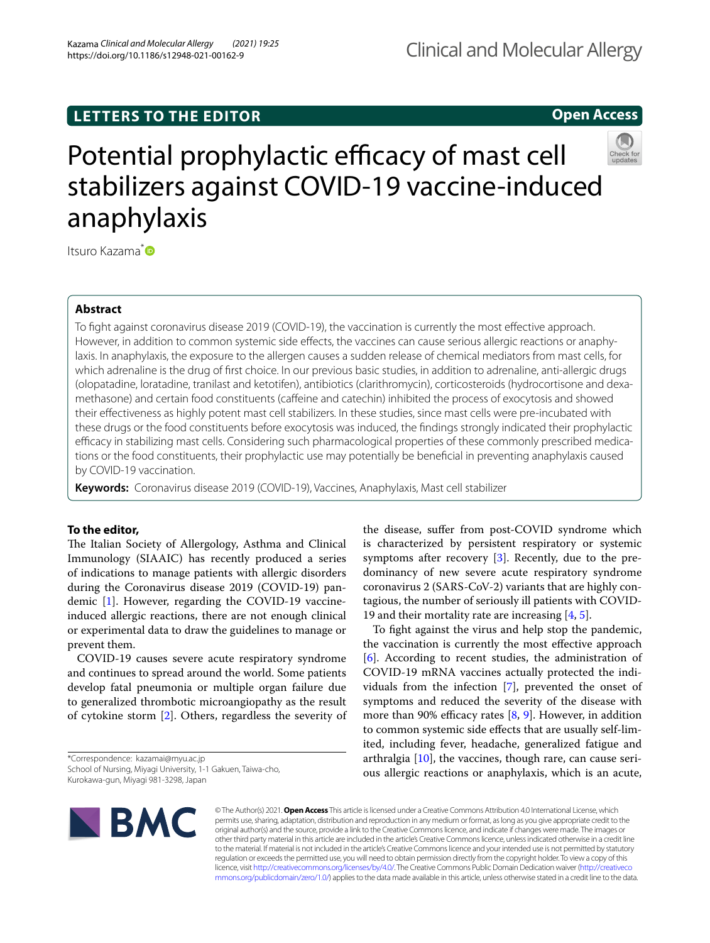# **LETTERS TO THE EDITOR**

# **Open Access**



# Potential prophylactic efficacy of mast cell stabilizers against COVID-19 vaccine-induced anaphylaxis

Itsuro Kazama<sup>[\\*](http://orcid.org/0000-0001-8487-647X)</sup>

## **Abstract**

To fght against coronavirus disease 2019 (COVID-19), the vaccination is currently the most efective approach. However, in addition to common systemic side effects, the vaccines can cause serious allergic reactions or anaphylaxis. In anaphylaxis, the exposure to the allergen causes a sudden release of chemical mediators from mast cells, for which adrenaline is the drug of frst choice. In our previous basic studies, in addition to adrenaline, anti-allergic drugs (olopatadine, loratadine, tranilast and ketotifen), antibiotics (clarithromycin), corticosteroids (hydrocortisone and dexamethasone) and certain food constituents (cafeine and catechin) inhibited the process of exocytosis and showed their efectiveness as highly potent mast cell stabilizers. In these studies, since mast cells were pre-incubated with these drugs or the food constituents before exocytosis was induced, the fndings strongly indicated their prophylactic efficacy in stabilizing mast cells. Considering such pharmacological properties of these commonly prescribed medications or the food constituents, their prophylactic use may potentially be benefcial in preventing anaphylaxis caused by COVID-19 vaccination.

**Keywords:** Coronavirus disease 2019 (COVID-19), Vaccines, Anaphylaxis, Mast cell stabilizer

# **To the editor,**

The Italian Society of Allergology, Asthma and Clinical Immunology (SIAAIC) has recently produced a series of indications to manage patients with allergic disorders during the Coronavirus disease 2019 (COVID-19) pandemic [\[1\]](#page-2-0). However, regarding the COVID-19 vaccineinduced allergic reactions, there are not enough clinical or experimental data to draw the guidelines to manage or prevent them.

COVID-19 causes severe acute respiratory syndrome and continues to spread around the world. Some patients develop fatal pneumonia or multiple organ failure due to generalized thrombotic microangiopathy as the result of cytokine storm [[2\]](#page-2-1). Others, regardless the severity of

\*Correspondence: kazamai@myu.ac.jp School of Nursing, Miyagi University, 1-1 Gakuen, Taiwa-cho, Kurokawa-gun, Miyagi 981-3298, Japan

the disease, sufer from post-COVID syndrome which is characterized by persistent respiratory or systemic symptoms after recovery [\[3\]](#page-2-2). Recently, due to the predominancy of new severe acute respiratory syndrome coronavirus 2 (SARS-CoV-2) variants that are highly contagious, the number of seriously ill patients with COVID-19 and their mortality rate are increasing  $[4, 5]$  $[4, 5]$  $[4, 5]$  $[4, 5]$ .

To fght against the virus and help stop the pandemic, the vaccination is currently the most efective approach [[6\]](#page-2-5). According to recent studies, the administration of COVID-19 mRNA vaccines actually protected the individuals from the infection [\[7](#page-2-6)], prevented the onset of symptoms and reduced the severity of the disease with more than 90% efficacy rates  $[8, 9]$  $[8, 9]$  $[8, 9]$ . However, in addition to common systemic side efects that are usually self-limited, including fever, headache, generalized fatigue and arthralgia  $[10]$  $[10]$ , the vaccines, though rare, can cause serious allergic reactions or anaphylaxis, which is an acute,



© The Author(s) 2021. **Open Access** This article is licensed under a Creative Commons Attribution 4.0 International License, which permits use, sharing, adaptation, distribution and reproduction in any medium or format, as long as you give appropriate credit to the original author(s) and the source, provide a link to the Creative Commons licence, and indicate if changes were made. The images or other third party material in this article are included in the article's Creative Commons licence, unless indicated otherwise in a credit line to the material. If material is not included in the article's Creative Commons licence and your intended use is not permitted by statutory regulation or exceeds the permitted use, you will need to obtain permission directly from the copyright holder. To view a copy of this licence, visit [http://creativecommons.org/licenses/by/4.0/.](http://creativecommons.org/licenses/by/4.0/) The Creative Commons Public Domain Dedication waiver ([http://creativeco](http://creativecommons.org/publicdomain/zero/1.0/) [mmons.org/publicdomain/zero/1.0/](http://creativecommons.org/publicdomain/zero/1.0/)) applies to the data made available in this article, unless otherwise stated in a credit line to the data.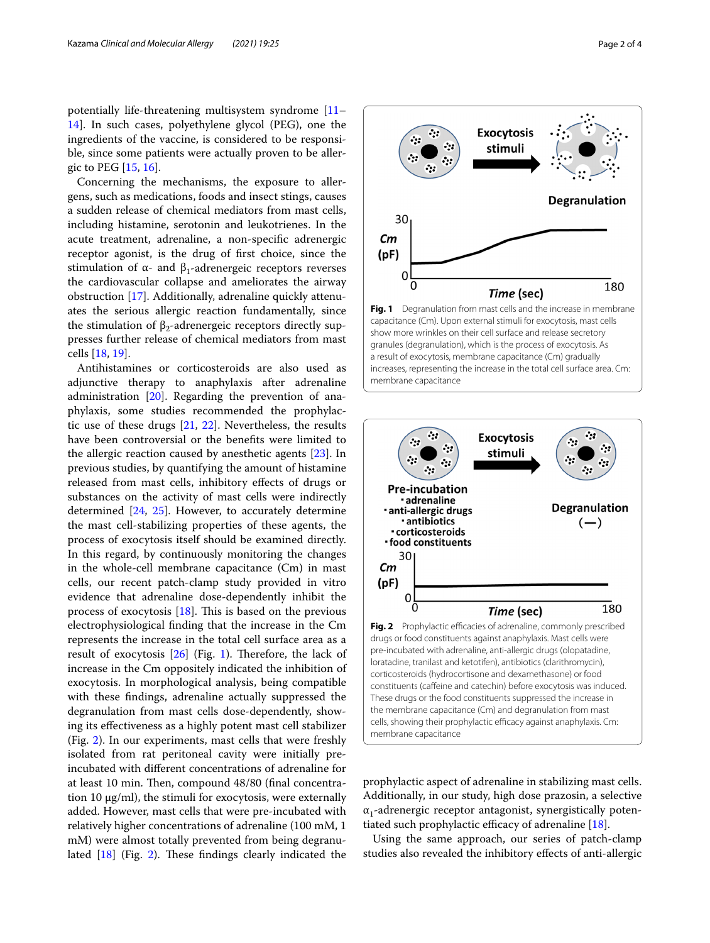potentially life-threatening multisystem syndrome [[11–](#page-2-10) [14\]](#page-2-11). In such cases, polyethylene glycol (PEG), one the ingredients of the vaccine, is considered to be responsible, since some patients were actually proven to be allergic to PEG [\[15](#page-2-12), [16\]](#page-2-13).

Concerning the mechanisms, the exposure to allergens, such as medications, foods and insect stings, causes a sudden release of chemical mediators from mast cells, including histamine, serotonin and leukotrienes. In the acute treatment, adrenaline, a non-specifc adrenergic receptor agonist, is the drug of frst choice, since the stimulation of α- and  $β_1$ -adrenergeic receptors reverses the cardiovascular collapse and ameliorates the airway obstruction [\[17](#page-2-14)]. Additionally, adrenaline quickly attenuates the serious allergic reaction fundamentally, since the stimulation of  $β_2$ -adrenergeic receptors directly suppresses further release of chemical mediators from mast cells [[18,](#page-2-15) [19](#page-3-0)].

Antihistamines or corticosteroids are also used as adjunctive therapy to anaphylaxis after adrenaline administration [\[20](#page-3-1)]. Regarding the prevention of anaphylaxis, some studies recommended the prophylactic use of these drugs [[21,](#page-3-2) [22](#page-3-3)]. Nevertheless, the results have been controversial or the benefts were limited to the allergic reaction caused by anesthetic agents [\[23](#page-3-4)]. In previous studies, by quantifying the amount of histamine released from mast cells, inhibitory efects of drugs or substances on the activity of mast cells were indirectly determined [[24](#page-3-5), [25\]](#page-3-6). However, to accurately determine the mast cell-stabilizing properties of these agents, the process of exocytosis itself should be examined directly. In this regard, by continuously monitoring the changes in the whole-cell membrane capacitance (Cm) in mast cells, our recent patch-clamp study provided in vitro evidence that adrenaline dose-dependently inhibit the process of exocytosis  $[18]$  $[18]$ . This is based on the previous electrophysiological fnding that the increase in the Cm represents the increase in the total cell surface area as a result of exocytosis  $[26]$  $[26]$  $[26]$  (Fig. [1\)](#page-1-0). Therefore, the lack of increase in the Cm oppositely indicated the inhibition of exocytosis. In morphological analysis, being compatible with these fndings, adrenaline actually suppressed the degranulation from mast cells dose-dependently, showing its efectiveness as a highly potent mast cell stabilizer (Fig. [2\)](#page-1-1). In our experiments, mast cells that were freshly isolated from rat peritoneal cavity were initially preincubated with diferent concentrations of adrenaline for at least 10 min. Then, compound 48/80 (final concentration 10 µg/ml), the stimuli for exocytosis, were externally added. However, mast cells that were pre-incubated with relatively higher concentrations of adrenaline (100 mM, 1 mM) were almost totally prevented from being degranulated  $[18]$  $[18]$  (Fig. [2](#page-1-1)). These findings clearly indicated the



<span id="page-1-0"></span>

<span id="page-1-1"></span>prophylactic aspect of adrenaline in stabilizing mast cells. Additionally, in our study, high dose prazosin, a selective  $\alpha_1$ -adrenergic receptor antagonist, synergistically potentiated such prophylactic efficacy of adrenaline  $[18]$  $[18]$ .

Using the same approach, our series of patch-clamp studies also revealed the inhibitory efects of anti-allergic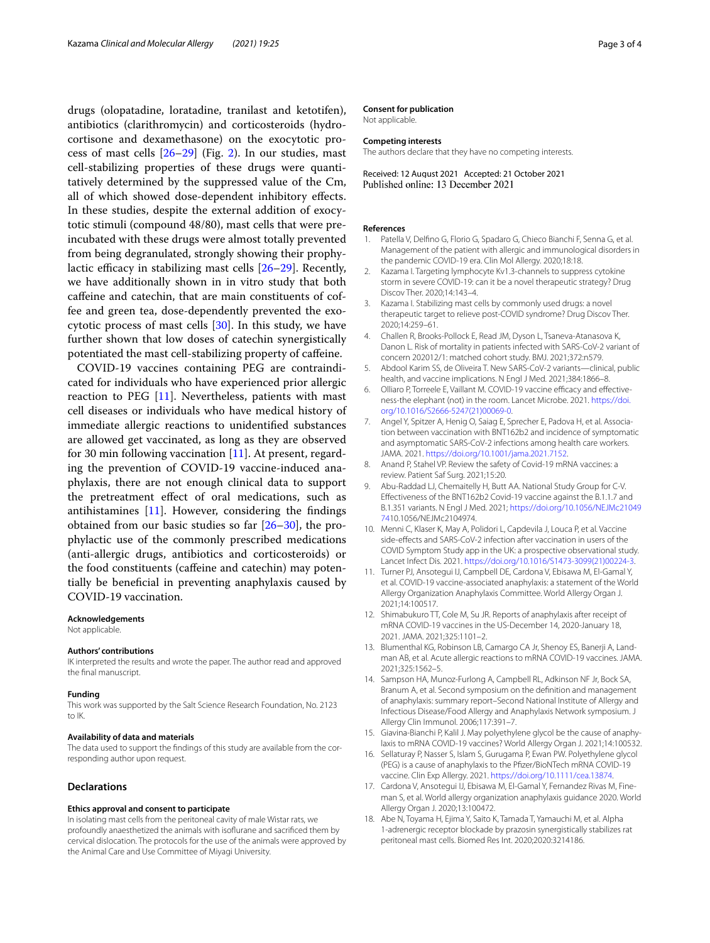drugs (olopatadine, loratadine, tranilast and ketotifen), antibiotics (clarithromycin) and corticosteroids (hydrocortisone and dexamethasone) on the exocytotic process of mast cells  $[26-29]$  $[26-29]$  (Fig. [2](#page-1-1)). In our studies, mast cell-stabilizing properties of these drugs were quantitatively determined by the suppressed value of the Cm, all of which showed dose-dependent inhibitory efects. In these studies, despite the external addition of exocytotic stimuli (compound 48/80), mast cells that were preincubated with these drugs were almost totally prevented from being degranulated, strongly showing their prophylactic efficacy in stabilizing mast cells  $[26-29]$  $[26-29]$ . Recently, we have additionally shown in in vitro study that both cafeine and catechin, that are main constituents of coffee and green tea, dose-dependently prevented the exocytotic process of mast cells [[30\]](#page-3-9). In this study, we have further shown that low doses of catechin synergistically potentiated the mast cell-stabilizing property of cafeine.

COVID-19 vaccines containing PEG are contraindicated for individuals who have experienced prior allergic reaction to PEG [[11\]](#page-2-10). Nevertheless, patients with mast cell diseases or individuals who have medical history of immediate allergic reactions to unidentifed substances are allowed get vaccinated, as long as they are observed for 30 min following vaccination  $[11]$ . At present, regarding the prevention of COVID-19 vaccine-induced anaphylaxis, there are not enough clinical data to support the pretreatment efect of oral medications, such as antihistamines [[11](#page-2-10)]. However, considering the fndings obtained from our basic studies so far [\[26](#page-3-7)[–30\]](#page-3-9), the prophylactic use of the commonly prescribed medications (anti-allergic drugs, antibiotics and corticosteroids) or the food constituents (cafeine and catechin) may potentially be benefcial in preventing anaphylaxis caused by COVID-19 vaccination.

## **Acknowledgements**

Not applicable.

#### **Authors' contributions**

IK interpreted the results and wrote the paper. The author read and approved the fnal manuscript.

## **Funding**

This work was supported by the Salt Science Research Foundation, No. 2123 to IK.

### **Availability of data and materials**

The data used to support the fndings of this study are available from the corresponding author upon request.

## **Declarations**

## **Ethics approval and consent to participate**

In isolating mast cells from the peritoneal cavity of male Wistar rats, we profoundly anaesthetized the animals with isofurane and sacrifced them by cervical dislocation. The protocols for the use of the animals were approved by the Animal Care and Use Committee of Miyagi University.

### **Consent for publication**

Not applicable.

## **Competing interests**

The authors declare that they have no competing interests.

Received: 12 August 2021 Accepted: 21 October 2021 Published online: 13 December 2021

## **References**

- <span id="page-2-0"></span>1. Patella V, Delfno G, Florio G, Spadaro G, Chieco Bianchi F, Senna G, et al. Management of the patient with allergic and immunological disorders in the pandemic COVID-19 era. Clin Mol Allergy. 2020;18:18.
- <span id="page-2-1"></span>2. Kazama I. Targeting lymphocyte Kv1.3-channels to suppress cytokine storm in severe COVID-19: can it be a novel therapeutic strategy? Drug Discov Ther. 2020;14:143–4.
- <span id="page-2-2"></span>3. Kazama I. Stabilizing mast cells by commonly used drugs: a novel therapeutic target to relieve post-COVID syndrome? Drug Discov Ther. 2020;14:259–61.
- <span id="page-2-3"></span>4. Challen R, Brooks-Pollock E, Read JM, Dyson L, Tsaneva-Atanasova K, Danon L. Risk of mortality in patients infected with SARS-CoV-2 variant of concern 202012/1: matched cohort study. BMJ. 2021;372:n579.
- <span id="page-2-4"></span>5. Abdool Karim SS, de Oliveira T. New SARS-CoV-2 variants—clinical, public health, and vaccine implications. N Engl J Med. 2021;384:1866–8.
- <span id="page-2-5"></span>6. Olliaro P, Torreele E, Vaillant M. COVID-19 vaccine efficacy and effectiveness-the elephant (not) in the room. Lancet Microbe. 2021. [https://doi.](https://doi.org/10.1016/S2666-5247(21)00069-0) [org/10.1016/S2666-5247\(21\)00069-0.](https://doi.org/10.1016/S2666-5247(21)00069-0)
- <span id="page-2-6"></span>7. Angel Y, Spitzer A, Henig O, Saiag E, Sprecher E, Padova H, et al. Association between vaccination with BNT162b2 and incidence of symptomatic and asymptomatic SARS-CoV-2 infections among health care workers. JAMA. 2021. [https://doi.org/10.1001/jama.2021.7152.](https://doi.org/10.1001/jama.2021.7152)
- <span id="page-2-7"></span>8. Anand P, Stahel VP. Review the safety of Covid-19 mRNA vaccines: a review. Patient Saf Surg. 2021;15:20.
- <span id="page-2-8"></span>9. Abu-Raddad LJ, Chemaitelly H, Butt AA. National Study Group for C-V. Efectiveness of the BNT162b2 Covid-19 vaccine against the B.1.1.7 and B.1.351 variants. N Engl J Med. 2021; [https://doi.org/10.1056/NEJMc21049](https://doi.org/10.1056/NEJMc2104974) [74](https://doi.org/10.1056/NEJMc2104974)10.1056/NEJMc2104974.
- <span id="page-2-9"></span>10. Menni C, Klaser K, May A, Polidori L, Capdevila J, Louca P, et al. Vaccine side-efects and SARS-CoV-2 infection after vaccination in users of the COVID Symptom Study app in the UK: a prospective observational study. Lancet Infect Dis. 2021. [https://doi.org/10.1016/S1473-3099\(21\)00224-3](https://doi.org/10.1016/S1473-3099(21)00224-3).
- <span id="page-2-10"></span>11. Turner PJ, Ansotegui IJ, Campbell DE, Cardona V, Ebisawa M, El-Gamal Y, et al. COVID-19 vaccine-associated anaphylaxis: a statement of the World Allergy Organization Anaphylaxis Committee. World Allergy Organ J. 2021;14:100517.
- 12. Shimabukuro TT, Cole M, Su JR. Reports of anaphylaxis after receipt of mRNA COVID-19 vaccines in the US-December 14, 2020-January 18, 2021. JAMA. 2021;325:1101–2.
- 13. Blumenthal KG, Robinson LB, Camargo CA Jr, Shenoy ES, Banerji A, Landman AB, et al. Acute allergic reactions to mRNA COVID-19 vaccines. JAMA. 2021;325:1562–5.
- <span id="page-2-11"></span>14. Sampson HA, Munoz-Furlong A, Campbell RL, Adkinson NF Jr, Bock SA, Branum A, et al. Second symposium on the defnition and management of anaphylaxis: summary report–Second National Institute of Allergy and Infectious Disease/Food Allergy and Anaphylaxis Network symposium. J Allergy Clin Immunol. 2006;117:391–7.
- <span id="page-2-12"></span>15. Giavina-Bianchi P, Kalil J. May polyethylene glycol be the cause of anaphylaxis to mRNA COVID-19 vaccines? World Allergy Organ J. 2021;14:100532.
- <span id="page-2-13"></span>16. Sellaturay P, Nasser S, Islam S, Gurugama P, Ewan PW. Polyethylene glycol (PEG) is a cause of anaphylaxis to the Pfzer/BioNTech mRNA COVID-19 vaccine. Clin Exp Allergy. 2021. [https://doi.org/10.1111/cea.13874.](https://doi.org/10.1111/cea.13874)
- <span id="page-2-14"></span>17. Cardona V, Ansotegui IJ, Ebisawa M, El-Gamal Y, Fernandez Rivas M, Fineman S, et al. World allergy organization anaphylaxis guidance 2020. World Allergy Organ J. 2020;13:100472.
- <span id="page-2-15"></span>18. Abe N, Toyama H, Ejima Y, Saito K, Tamada T, Yamauchi M, et al. Alpha 1-adrenergic receptor blockade by prazosin synergistically stabilizes rat peritoneal mast cells. Biomed Res Int. 2020;2020:3214186.